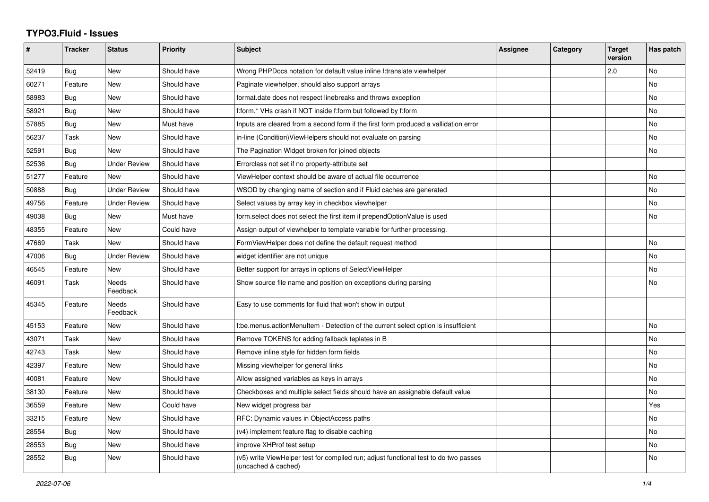## **TYPO3.Fluid - Issues**

| #     | <b>Tracker</b> | <b>Status</b>       | <b>Priority</b> | Subject                                                                                                     | Assignee | Category | <b>Target</b><br>version | Has patch |
|-------|----------------|---------------------|-----------------|-------------------------------------------------------------------------------------------------------------|----------|----------|--------------------------|-----------|
| 52419 | Bug            | New                 | Should have     | Wrong PHPDocs notation for default value inline f:translate viewhelper                                      |          |          | 2.0                      | No        |
| 60271 | Feature        | New                 | Should have     | Paginate viewhelper, should also support arrays                                                             |          |          |                          | <b>No</b> |
| 58983 | Bug            | <b>New</b>          | Should have     | format.date does not respect linebreaks and throws exception                                                |          |          |                          | <b>No</b> |
| 58921 | Bug            | <b>New</b>          | Should have     | f:form.* VHs crash if NOT inside f:form but followed by f:form                                              |          |          |                          | <b>No</b> |
| 57885 | Bug            | New                 | Must have       | Inputs are cleared from a second form if the first form produced a vallidation error                        |          |          |                          | No        |
| 56237 | Task           | <b>New</b>          | Should have     | in-line (Condition) View Helpers should not evaluate on parsing                                             |          |          |                          | No        |
| 52591 | Bug            | <b>New</b>          | Should have     | The Pagination Widget broken for joined objects                                                             |          |          |                          | <b>No</b> |
| 52536 | Bug            | <b>Under Review</b> | Should have     | Errorclass not set if no property-attribute set                                                             |          |          |                          |           |
| 51277 | Feature        | <b>New</b>          | Should have     | ViewHelper context should be aware of actual file occurrence                                                |          |          |                          | <b>No</b> |
| 50888 | Bug            | <b>Under Review</b> | Should have     | WSOD by changing name of section and if Fluid caches are generated                                          |          |          |                          | <b>No</b> |
| 49756 | Feature        | <b>Under Review</b> | Should have     | Select values by array key in checkbox viewhelper                                                           |          |          |                          | No        |
| 49038 | Bug            | New                 | Must have       | form.select does not select the first item if prependOptionValue is used                                    |          |          |                          | No        |
| 48355 | Feature        | New                 | Could have      | Assign output of viewhelper to template variable for further processing.                                    |          |          |                          |           |
| 47669 | Task           | New                 | Should have     | FormViewHelper does not define the default request method                                                   |          |          |                          | No        |
| 47006 | Bug            | <b>Under Review</b> | Should have     | widget identifier are not unique                                                                            |          |          |                          | <b>No</b> |
| 46545 | Feature        | <b>New</b>          | Should have     | Better support for arrays in options of SelectViewHelper                                                    |          |          |                          | <b>No</b> |
| 46091 | Task           | Needs<br>Feedback   | Should have     | Show source file name and position on exceptions during parsing                                             |          |          |                          | No        |
| 45345 | Feature        | Needs<br>Feedback   | Should have     | Easy to use comments for fluid that won't show in output                                                    |          |          |                          |           |
| 45153 | Feature        | New                 | Should have     | f:be.menus.actionMenuItem - Detection of the current select option is insufficient                          |          |          |                          | <b>No</b> |
| 43071 | Task           | <b>New</b>          | Should have     | Remove TOKENS for adding fallback teplates in B                                                             |          |          |                          | <b>No</b> |
| 42743 | Task           | New                 | Should have     | Remove inline style for hidden form fields                                                                  |          |          |                          | <b>No</b> |
| 42397 | Feature        | New                 | Should have     | Missing viewhelper for general links                                                                        |          |          |                          | <b>No</b> |
| 40081 | Feature        | <b>New</b>          | Should have     | Allow assigned variables as keys in arrays                                                                  |          |          |                          | <b>No</b> |
| 38130 | Feature        | <b>New</b>          | Should have     | Checkboxes and multiple select fields should have an assignable default value                               |          |          |                          | <b>No</b> |
| 36559 | Feature        | New                 | Could have      | New widget progress bar                                                                                     |          |          |                          | Yes       |
| 33215 | Feature        | New                 | Should have     | RFC: Dynamic values in ObjectAccess paths                                                                   |          |          |                          | No        |
| 28554 | <b>Bug</b>     | New                 | Should have     | (v4) implement feature flag to disable caching                                                              |          |          |                          | No        |
| 28553 | Bug            | <b>New</b>          | Should have     | improve XHProf test setup                                                                                   |          |          |                          | <b>No</b> |
| 28552 | Bug            | <b>New</b>          | Should have     | (v5) write ViewHelper test for compiled run; adjust functional test to do two passes<br>(uncached & cached) |          |          |                          | <b>No</b> |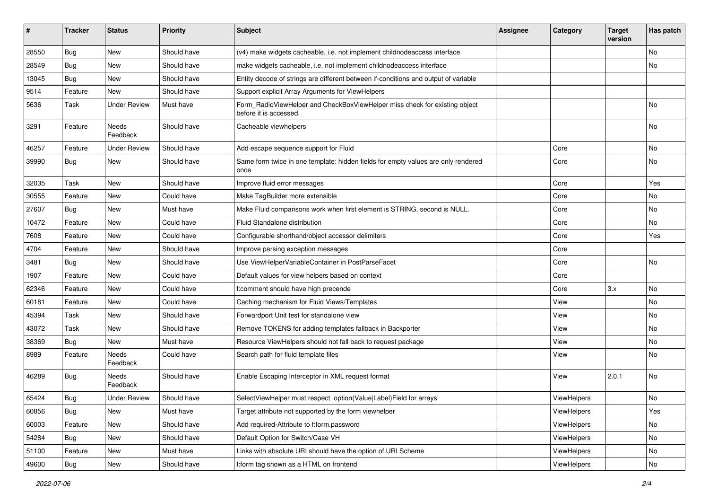| #     | <b>Tracker</b> | <b>Status</b>       | <b>Priority</b> | <b>Subject</b>                                                                                       | <b>Assignee</b> | Category    | <b>Target</b><br>version | Has patch |
|-------|----------------|---------------------|-----------------|------------------------------------------------------------------------------------------------------|-----------------|-------------|--------------------------|-----------|
| 28550 | Bug            | New                 | Should have     | (v4) make widgets cacheable, i.e. not implement childnodeaccess interface                            |                 |             |                          | No        |
| 28549 | Bug            | New                 | Should have     | make widgets cacheable, i.e. not implement childnodeaccess interface                                 |                 |             |                          | No        |
| 13045 | Bug            | New                 | Should have     | Entity decode of strings are different between if-conditions and output of variable                  |                 |             |                          |           |
| 9514  | Feature        | New                 | Should have     | Support explicit Array Arguments for ViewHelpers                                                     |                 |             |                          |           |
| 5636  | Task           | <b>Under Review</b> | Must have       | Form_RadioViewHelper and CheckBoxViewHelper miss check for existing object<br>before it is accessed. |                 |             |                          | No        |
| 3291  | Feature        | Needs<br>Feedback   | Should have     | Cacheable viewhelpers                                                                                |                 |             |                          | No        |
| 46257 | Feature        | <b>Under Review</b> | Should have     | Add escape sequence support for Fluid                                                                |                 | Core        |                          | No        |
| 39990 | Bug            | New                 | Should have     | Same form twice in one template: hidden fields for empty values are only rendered<br>once            |                 | Core        |                          | No        |
| 32035 | Task           | New                 | Should have     | Improve fluid error messages                                                                         |                 | Core        |                          | Yes       |
| 30555 | Feature        | New                 | Could have      | Make TagBuilder more extensible                                                                      |                 | Core        |                          | No        |
| 27607 | Bug            | New                 | Must have       | Make Fluid comparisons work when first element is STRING, second is NULL.                            |                 | Core        |                          | No        |
| 10472 | Feature        | New                 | Could have      | Fluid Standalone distribution                                                                        |                 | Core        |                          | No        |
| 7608  | Feature        | New                 | Could have      | Configurable shorthand/object accessor delimiters                                                    |                 | Core        |                          | Yes       |
| 4704  | Feature        | New                 | Should have     | Improve parsing exception messages                                                                   |                 | Core        |                          |           |
| 3481  | Bug            | New                 | Should have     | Use ViewHelperVariableContainer in PostParseFacet                                                    |                 | Core        |                          | No        |
| 1907  | Feature        | New                 | Could have      | Default values for view helpers based on context                                                     |                 | Core        |                          |           |
| 62346 | Feature        | New                 | Could have      | f:comment should have high precende                                                                  |                 | Core        | 3.x                      | No        |
| 60181 | Feature        | New                 | Could have      | Caching mechanism for Fluid Views/Templates                                                          |                 | View        |                          | No        |
| 45394 | Task           | New                 | Should have     | Forwardport Unit test for standalone view                                                            |                 | View        |                          | No.       |
| 43072 | Task           | New                 | Should have     | Remove TOKENS for adding templates fallback in Backporter                                            |                 | View        |                          | No        |
| 38369 | Bug            | New                 | Must have       | Resource ViewHelpers should not fall back to request package                                         |                 | View        |                          | No        |
| 8989  | Feature        | Needs<br>Feedback   | Could have      | Search path for fluid template files                                                                 |                 | View        |                          | No        |
| 46289 | Bug            | Needs<br>Feedback   | Should have     | Enable Escaping Interceptor in XML request format                                                    |                 | View        | 2.0.1                    | No        |
| 65424 | Bug            | Under Review        | Should have     | SelectViewHelper must respect option(Value Label)Field for arrays                                    |                 | ViewHelpers |                          | No        |
| 60856 | <b>Bug</b>     | New                 | Must have       | Target attribute not supported by the form viewhelper                                                |                 | ViewHelpers |                          | Yes       |
| 60003 | Feature        | New                 | Should have     | Add required-Attribute to f:form.password                                                            |                 | ViewHelpers |                          | No        |
| 54284 | <b>Bug</b>     | New                 | Should have     | Default Option for Switch/Case VH                                                                    |                 | ViewHelpers |                          | No        |
| 51100 | Feature        | New                 | Must have       | Links with absolute URI should have the option of URI Scheme                                         |                 | ViewHelpers |                          | No        |
| 49600 | Bug            | New                 | Should have     | f:form tag shown as a HTML on frontend                                                               |                 | ViewHelpers |                          | No        |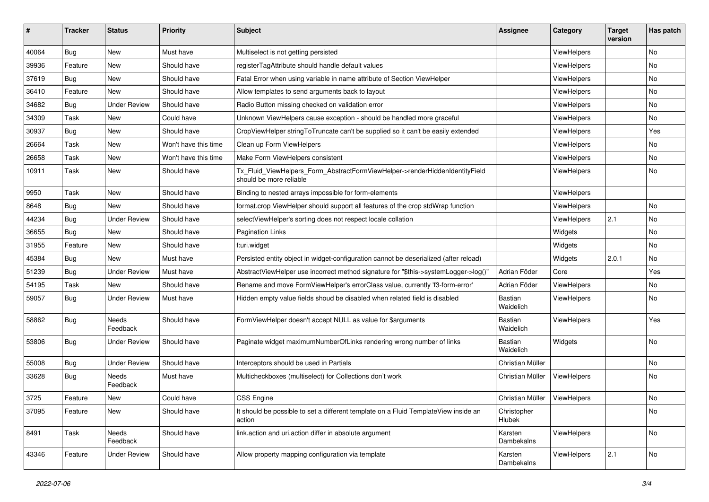| ∦     | <b>Tracker</b> | <b>Status</b>            | <b>Priority</b>      | Subject                                                                                                | <b>Assignee</b>       | Category    | <b>Target</b><br>version | Has patch |
|-------|----------------|--------------------------|----------------------|--------------------------------------------------------------------------------------------------------|-----------------------|-------------|--------------------------|-----------|
| 40064 | Bug            | New                      | Must have            | Multiselect is not getting persisted                                                                   |                       | ViewHelpers |                          | No        |
| 39936 | Feature        | New                      | Should have          | registerTagAttribute should handle default values                                                      |                       | ViewHelpers |                          | No        |
| 37619 | Bug            | New                      | Should have          | Fatal Error when using variable in name attribute of Section ViewHelper                                |                       | ViewHelpers |                          | No        |
| 36410 | Feature        | <b>New</b>               | Should have          | Allow templates to send arguments back to layout                                                       |                       | ViewHelpers |                          | No        |
| 34682 | Bug            | <b>Under Review</b>      | Should have          | Radio Button missing checked on validation error                                                       |                       | ViewHelpers |                          | No        |
| 34309 | Task           | New                      | Could have           | Unknown ViewHelpers cause exception - should be handled more graceful                                  |                       | ViewHelpers |                          | No        |
| 30937 | Bug            | New                      | Should have          | CropViewHelper stringToTruncate can't be supplied so it can't be easily extended                       |                       | ViewHelpers |                          | Yes       |
| 26664 | Task           | New                      | Won't have this time | Clean up Form ViewHelpers                                                                              |                       | ViewHelpers |                          | No        |
| 26658 | Task           | New                      | Won't have this time | Make Form ViewHelpers consistent                                                                       |                       | ViewHelpers |                          | No        |
| 10911 | Task           | New                      | Should have          | Tx_Fluid_ViewHelpers_Form_AbstractFormViewHelper->renderHiddenIdentityField<br>should be more reliable |                       | ViewHelpers |                          | No        |
| 9950  | Task           | New                      | Should have          | Binding to nested arrays impossible for form-elements                                                  |                       | ViewHelpers |                          |           |
| 8648  | Bug            | New                      | Should have          | format.crop ViewHelper should support all features of the crop stdWrap function                        |                       | ViewHelpers |                          | No        |
| 44234 | Bug            | <b>Under Review</b>      | Should have          | selectViewHelper's sorting does not respect locale collation                                           |                       | ViewHelpers | 2.1                      | No        |
| 36655 | Bug            | New                      | Should have          | Pagination Links                                                                                       |                       | Widgets     |                          | No        |
| 31955 | Feature        | New                      | Should have          | f:uri.widget                                                                                           |                       | Widgets     |                          | No        |
| 45384 | Bug            | <b>New</b>               | Must have            | Persisted entity object in widget-configuration cannot be deserialized (after reload)                  |                       | Widgets     | 2.0.1                    | No        |
| 51239 | Bug            | <b>Under Review</b>      | Must have            | AbstractViewHelper use incorrect method signature for "\$this->systemLogger->log()"                    | Adrian Föder          | Core        |                          | Yes       |
| 54195 | Task           | New                      | Should have          | Rename and move FormViewHelper's errorClass value, currently 'f3-form-error'                           | Adrian Föder          | ViewHelpers |                          | No.       |
| 59057 | Bug            | <b>Under Review</b>      | Must have            | Hidden empty value fields shoud be disabled when related field is disabled                             | Bastian<br>Waidelich  | ViewHelpers |                          | No        |
| 58862 | Bug            | <b>Needs</b><br>Feedback | Should have          | FormViewHelper doesn't accept NULL as value for \$arguments                                            | Bastian<br>Waidelich  | ViewHelpers |                          | Yes       |
| 53806 | Bug            | <b>Under Review</b>      | Should have          | Paginate widget maximumNumberOfLinks rendering wrong number of links                                   | Bastian<br>Waidelich  | Widgets     |                          | No        |
| 55008 | Bug            | <b>Under Review</b>      | Should have          | Interceptors should be used in Partials                                                                | Christian Müller      |             |                          | No        |
| 33628 | Bug            | Needs<br>Feedback        | Must have            | Multicheckboxes (multiselect) for Collections don't work                                               | Christian Müller      | ViewHelpers |                          | No.       |
| 3725  | Feature        | New                      | Could have           | <b>CSS Engine</b>                                                                                      | Christian Müller      | ViewHelpers |                          | No        |
| 37095 | Feature        | New                      | Should have          | It should be possible to set a different template on a Fluid TemplateView inside an<br>action          | Christopher<br>Hlubek |             |                          | No        |
| 8491  | Task           | Needs<br>Feedback        | Should have          | link.action and uri.action differ in absolute argument                                                 | Karsten<br>Dambekalns | ViewHelpers |                          | No        |
| 43346 | Feature        | <b>Under Review</b>      | Should have          | Allow property mapping configuration via template                                                      | Karsten<br>Dambekalns | ViewHelpers | 2.1                      | No        |